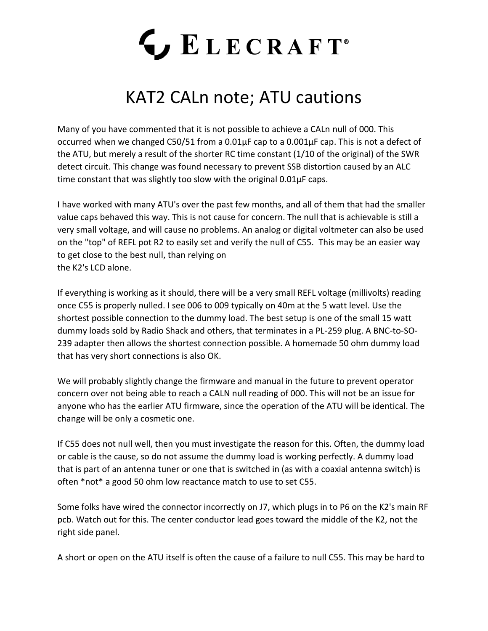## LECRAFT<sup>®</sup>

## KAT2 CALn note; ATU cautions

Many of you have commented that it is not possible to achieve a CALn null of 000. This occurred when we changed C50/51 from a 0.01µF cap to a 0.001µF cap. This is not a defect of the ATU, but merely a result of the shorter RC time constant (1/10 of the original) of the SWR detect circuit. This change was found necessary to prevent SSB distortion caused by an ALC time constant that was slightly too slow with the original 0.01µF caps.

I have worked with many ATU's over the past few months, and all of them that had the smaller value caps behaved this way. This is not cause for concern. The null that is achievable is still a very small voltage, and will cause no problems. An analog or digital voltmeter can also be used on the "top" of REFL pot R2 to easily set and verify the null of C55. This may be an easier way to get close to the best null, than relying on the K2's LCD alone.

If everything is working as it should, there will be a very small REFL voltage (millivolts) reading once C55 is properly nulled. I see 006 to 009 typically on 40m at the 5 watt level. Use the shortest possible connection to the dummy load. The best setup is one of the small 15 watt dummy loads sold by Radio Shack and others, that terminates in a PL-259 plug. A BNC-to-SO-239 adapter then allows the shortest connection possible. A homemade 50 ohm dummy load that has very short connections is also OK.

We will probably slightly change the firmware and manual in the future to prevent operator concern over not being able to reach a CALN null reading of 000. This will not be an issue for anyone who has the earlier ATU firmware, since the operation of the ATU will be identical. The change will be only a cosmetic one.

If C55 does not null well, then you must investigate the reason for this. Often, the dummy load or cable is the cause, so do not assume the dummy load is working perfectly. A dummy load that is part of an antenna tuner or one that is switched in (as with a coaxial antenna switch) is often \*not\* a good 50 ohm low reactance match to use to set C55.

Some folks have wired the connector incorrectly on J7, which plugs in to P6 on the K2's main RF pcb. Watch out for this. The center conductor lead goes toward the middle of the K2, not the right side panel.

A short or open on the ATU itself is often the cause of a failure to null C55. This may be hard to